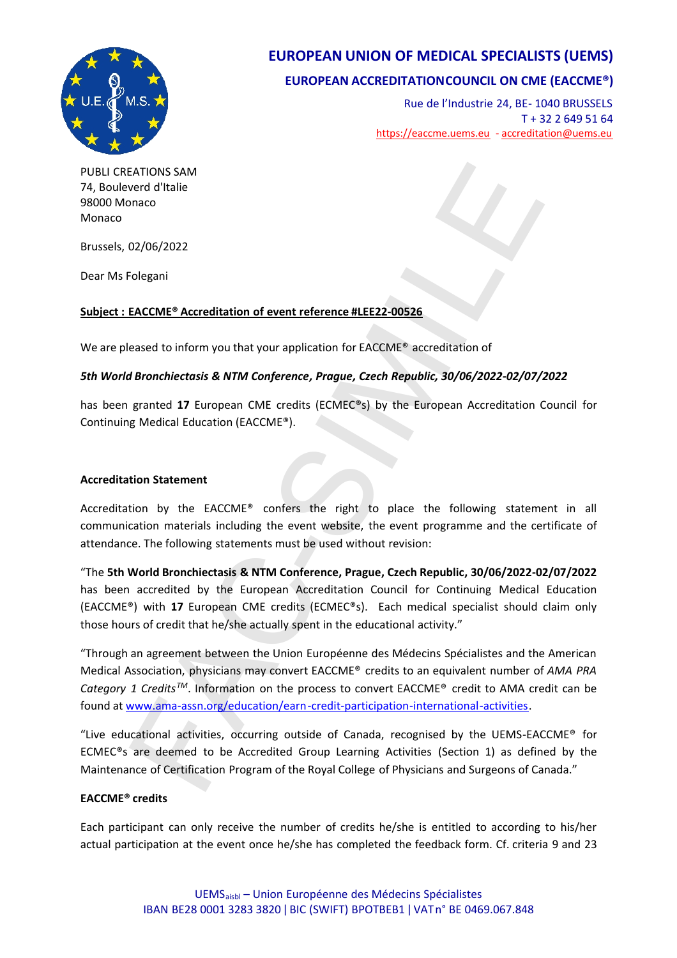

# **EUROPEAN UNION OF MEDICAL SPECIALISTS (UEMS)**

## **EUROPEAN ACCREDITATIONCOUNCIL ON CME (EACCME®)**

Rue de l'Industrie 24, BE- 1040 BRUSSELS T + 32 2 649 51 64 <https://eaccme.uems.eu> - [accreditation@uems.eu](mailto:accreditation@uems.eu)

PUBLI CREATIONS SAM 74, Bouleverd d'Italie 98000 Monaco Monaco

Brussels, 02/06/2022

Dear Ms Folegani

### **Subject : EACCME® Accreditation of event reference #LEE22-00526**

We are pleased to inform you that your application for EACCME® accreditation of

### *5th World Bronchiectasis & NTM Conference, Prague, Czech Republic, 30/06/2022-02/07/2022*

has been granted **17** European CME credits (ECMEC®s) by the European Accreditation Council for Continuing Medical Education (EACCME®).

#### **Accreditation Statement**

Accreditation by the EACCME® confers the right to place the following statement in all communication materials including the event website, the event programme and the certificate of attendance. The following statements must be used without revision:

"The **5th World Bronchiectasis & NTM Conference, Prague, Czech Republic, 30/06/2022-02/07/2022** has been accredited by the European Accreditation Council for Continuing Medical Education (EACCME®) with **17** European CME credits (ECMEC®s). Each medical specialist should claim only those hours of credit that he/she actually spent in the educational activity." EATIONS SAM<br>
Fract d'Italie<br>
everd d'Italie<br>
enaco<br>
Fract<br>
Colegani<br> [FA](www.ama-assn.org/education/earn-credit-participation-international-activities)CCME\* Accreditation of event reference #LEE22-00526<br>
eased to inform you that your application for EACCME\* accreditation of<br>
FBronchiectasis & NTM Conf

"Through an agreement between the Union Européenne des Médecins Spécialistes and the American Medical Association, physicians may convert EACCME® credits to an equivalent number of *AMA PRA Category 1 CreditsTM*. Information on the process to convert EACCME® credit to AMA credit can be found at www.ama-assn.org/education/earn-credit-participation-international-activities.

"Live educational activities, occurring outside of Canada, recognised by the UEMS-EACCME® for ECMEC®s are deemed to be Accredited Group Learning Activities (Section 1) as defined by the Maintenance of Certification Program of the Royal College of Physicians and Surgeons of Canada."

#### **EACCME® credits**

Each participant can only receive the number of credits he/she is entitled to according to his/her actual participation at the event once he/she has completed the feedback form. Cf. criteria 9 and 23